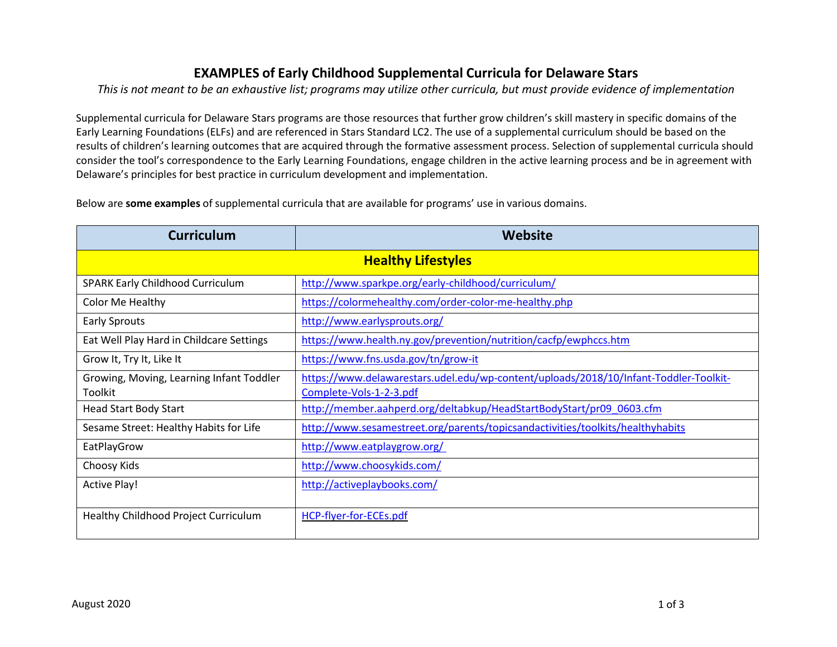## **EXAMPLES of Early Childhood Supplemental Curricula for Delaware Stars**

This is not meant to be an exhaustive list; programs may utilize other curricula, but must provide evidence of implementation

Supplemental curricula for Delaware Stars programs are those resources that further grow children's skill mastery in specific domains of the Early Learning Foundations (ELFs) and are referenced in Stars Standard LC2. The use of a supplemental curriculum should be based on the results of children's learning outcomes that are acquired through the formative assessment process. Selection of supplemental curricula should consider the tool's correspondence to the Early Learning Foundations, engage children in the active learning process and be in agreement with Delaware's principles for best practice in curriculum development and implementation.

Below are **some examples** of supplemental curricula that are available for programs' use in various domains.

| <b>Curriculum</b>                                   | <b>Website</b>                                                                                                   |
|-----------------------------------------------------|------------------------------------------------------------------------------------------------------------------|
| <b>Healthy Lifestyles</b>                           |                                                                                                                  |
| <b>SPARK Early Childhood Curriculum</b>             | http://www.sparkpe.org/early-childhood/curriculum/                                                               |
| Color Me Healthy                                    | https://colormehealthy.com/order-color-me-healthy.php                                                            |
| <b>Early Sprouts</b>                                | http://www.earlysprouts.org/                                                                                     |
| Eat Well Play Hard in Childcare Settings            | https://www.health.ny.gov/prevention/nutrition/cacfp/ewphccs.htm                                                 |
| Grow It, Try It, Like It                            | https://www.fns.usda.gov/tn/grow-it                                                                              |
| Growing, Moving, Learning Infant Toddler<br>Toolkit | https://www.delawarestars.udel.edu/wp-content/uploads/2018/10/Infant-Toddler-Toolkit-<br>Complete-Vols-1-2-3.pdf |
| <b>Head Start Body Start</b>                        | http://member.aahperd.org/deltabkup/HeadStartBodyStart/pr09_0603.cfm                                             |
| Sesame Street: Healthy Habits for Life              | http://www.sesamestreet.org/parents/topicsandactivities/toolkits/healthyhabits                                   |
| EatPlayGrow                                         | http://www.eatplaygrow.org/                                                                                      |
| Choosy Kids                                         | http://www.choosykids.com/                                                                                       |
| <b>Active Play!</b>                                 | http://activeplaybooks.com/                                                                                      |
| Healthy Childhood Project Curriculum                | HCP-flyer-for-ECEs.pdf                                                                                           |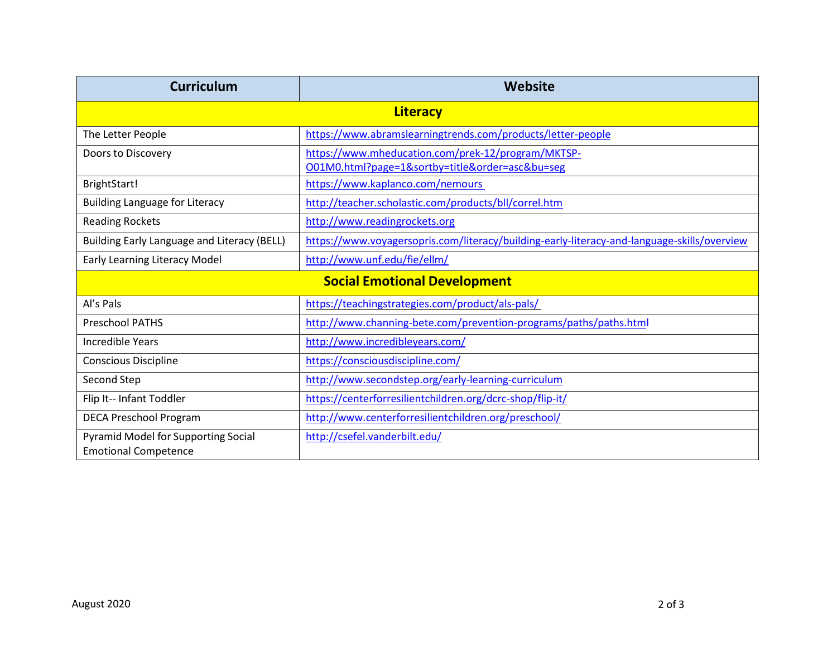| <b>Curriculum</b>                                                  | Website                                                                                          |
|--------------------------------------------------------------------|--------------------------------------------------------------------------------------------------|
| <b>Literacy</b>                                                    |                                                                                                  |
| The Letter People                                                  | https://www.abramslearningtrends.com/products/letter-people                                      |
| Doors to Discovery                                                 | https://www.mheducation.com/prek-12/program/MKTSP-<br>O01M0.html?page=1&sortby=titleℴ=asc&bu=seg |
| BrightStart!                                                       | https://www.kaplanco.com/nemours                                                                 |
| <b>Building Language for Literacy</b>                              | http://teacher.scholastic.com/products/bll/correl.htm                                            |
| <b>Reading Rockets</b>                                             | http://www.readingrockets.org                                                                    |
| Building Early Language and Literacy (BELL)                        | https://www.voyagersopris.com/literacy/building-early-literacy-and-language-skills/overview      |
| <b>Early Learning Literacy Model</b>                               | http://www.unf.edu/fie/ellm/                                                                     |
| <b>Social Emotional Development</b>                                |                                                                                                  |
| Al's Pals                                                          | https://teachingstrategies.com/product/als-pals/                                                 |
| <b>Preschool PATHS</b>                                             | http://www.channing-bete.com/prevention-programs/paths/paths.html                                |
| <b>Incredible Years</b>                                            | http://www.incredibleyears.com/                                                                  |
| <b>Conscious Discipline</b>                                        | https://consciousdiscipline.com/                                                                 |
| Second Step                                                        | http://www.secondstep.org/early-learning-curriculum                                              |
| Flip It-- Infant Toddler                                           | https://centerforresilientchildren.org/dcrc-shop/flip-it/                                        |
| <b>DECA Preschool Program</b>                                      | http://www.centerforresilientchildren.org/preschool/                                             |
| Pyramid Model for Supporting Social<br><b>Emotional Competence</b> | http://csefel.vanderbilt.edu/                                                                    |